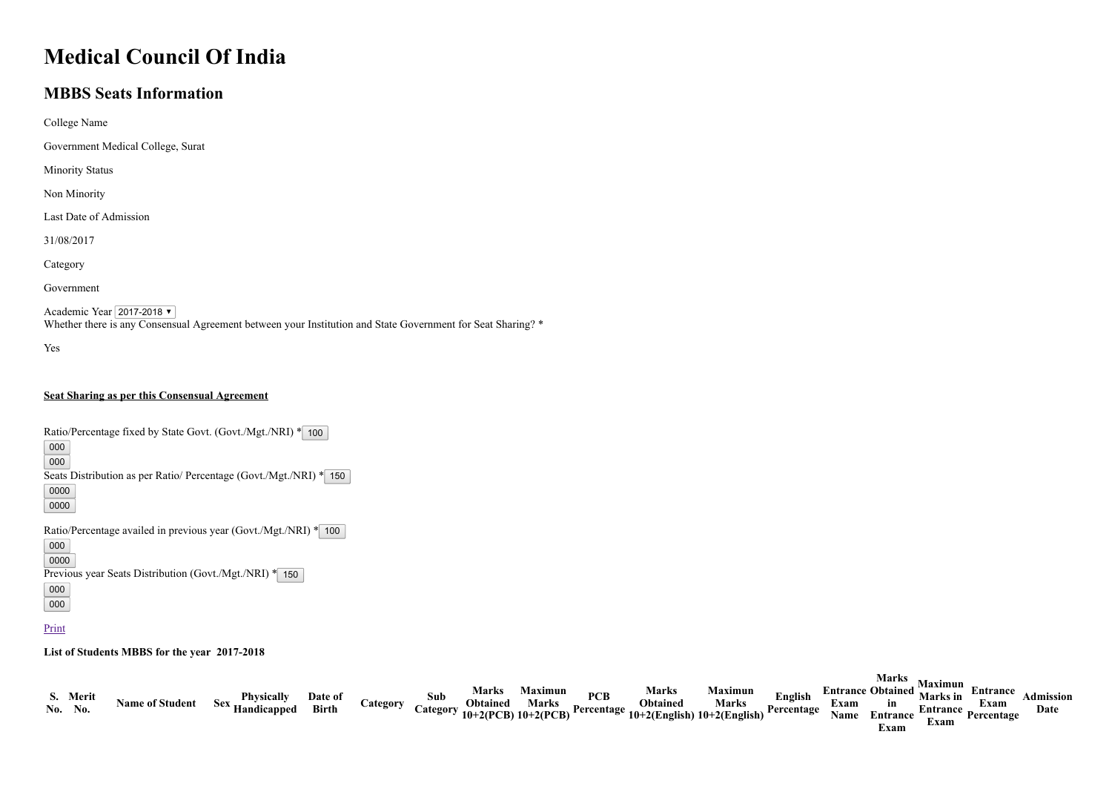## Medical Council Of India

## MBBS Seats Information

| College Name                      |
|-----------------------------------|
| Government Medical College, Surat |
| <b>Minority Status</b>            |
| Non Minority                      |
| Last Date of Admission            |
| 31/08/2017                        |
| Category                          |
| Government                        |

Academic Year 2017-2018 Whether there is any Consensual Agreement between your Institution and State Government for Seat Sharing? \*

Yes

## Seat Sharing as per this Consensual Agreement

Ratio/Percentage fixed by State Govt. (Govt./Mgt./NRI) \* 100

000 000

Seats Distribution as per Ratio/ Percentage (Govt./Mgt./NRI) \* 150

0000 0000

Ratio/Percentage availed in previous year (Govt./Mgt./NRI) \* 100

000

0000

Previous year Seats Distribution (Govt./Mgt./NRI) \* 150

000

000

## **Print**

List of Students MBBS for the year 2017-2018

|                     |                        |                               |                  |                 |     | <b>Marks</b> | <b>Maximun</b> |            | Marks                                                                                 | <b>Maximun</b> |                       |              | <b>Marks</b><br><b>Entrance Obtained Marks in</b> | <b>Maximun</b> | <b>Entrance</b>                    |                          |
|---------------------|------------------------|-------------------------------|------------------|-----------------|-----|--------------|----------------|------------|---------------------------------------------------------------------------------------|----------------|-----------------------|--------------|---------------------------------------------------|----------------|------------------------------------|--------------------------|
| S. Merit<br>No. No. | <b>Name of Student</b> | Physically<br>Sex Handicapped | Date of<br>Birth | <b>Category</b> | Sub | Obtained     | Marks          | <b>PCB</b> | Obtained<br>Category $10+2(PCB)$ 10+2(PCB) Percentage $10+2(English)$ 10+2(English) P | <b>Marks</b>   | English<br>Percentage | Exam<br>Name | in<br>Entrance<br>Exam                            | Exam           | Exam<br><b>Entrance Percentage</b> | <b>Admission</b><br>Date |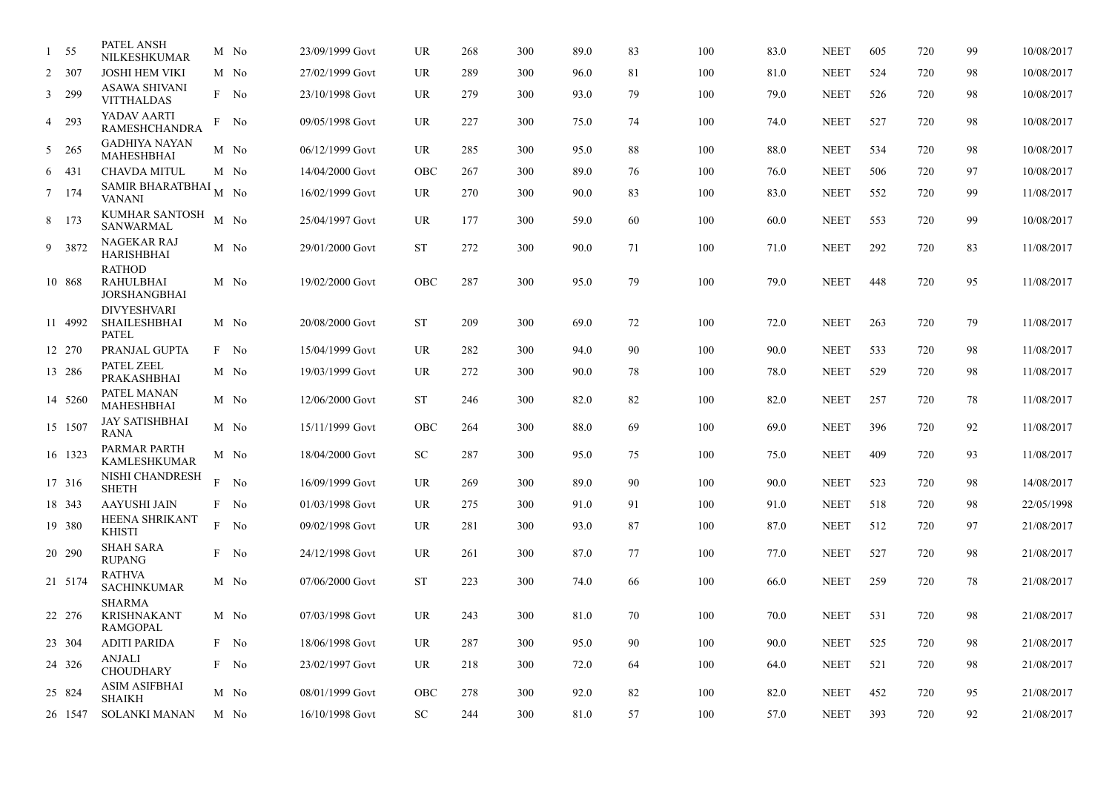| $\mathbf{1}$ | - 55    | PATEL ANSH<br>NILKESHKUMAR                                |   | M No | 23/09/1999 Govt | <b>UR</b>  | 268 | 300 | 89.0 | 83 | 100 | 83.0 | <b>NEET</b> | 605 | 720 | 99 | 10/08/2017 |
|--------------|---------|-----------------------------------------------------------|---|------|-----------------|------------|-----|-----|------|----|-----|------|-------------|-----|-----|----|------------|
|              | 2 307   | <b>JOSHI HEM VIKI</b>                                     |   | M No | 27/02/1999 Govt | <b>UR</b>  | 289 | 300 | 96.0 | 81 | 100 | 81.0 | <b>NEET</b> | 524 | 720 | 98 | 10/08/2017 |
|              | 3 299   | ASAWA SHIVANI<br><b>VITTHALDAS</b>                        |   | F No | 23/10/1998 Govt | <b>UR</b>  | 279 | 300 | 93.0 | 79 | 100 | 79.0 | <b>NEET</b> | 526 | 720 | 98 | 10/08/2017 |
|              | 4 293   | YADAV AARTI<br>RAMESHCHANDRA                              |   | F No | 09/05/1998 Govt | UR         | 227 | 300 | 75.0 | 74 | 100 | 74.0 | <b>NEET</b> | 527 | 720 | 98 | 10/08/2017 |
|              | 5 265   | <b>GADHIYA NAYAN</b><br>MAHESHBHAI                        |   | M No | 06/12/1999 Govt | UR         | 285 | 300 | 95.0 | 88 | 100 | 88.0 | <b>NEET</b> | 534 | 720 | 98 | 10/08/2017 |
|              | 6 431   | <b>CHAVDA MITUL</b>                                       |   | M No | 14/04/2000 Govt | <b>OBC</b> | 267 | 300 | 89.0 | 76 | 100 | 76.0 | <b>NEET</b> | 506 | 720 | 97 | 10/08/2017 |
|              | 7 174   | SAMIR BHARATBHAI $_{\rm M}$<br><b>VANANI</b>              |   | No   | 16/02/1999 Govt | UR         | 270 | 300 | 90.0 | 83 | 100 | 83.0 | <b>NEET</b> | 552 | 720 | 99 | 11/08/2017 |
|              | 8 173   | KUMHAR SANTOSH<br>SANWARMAL                               |   | M No | 25/04/1997 Govt | <b>UR</b>  | 177 | 300 | 59.0 | 60 | 100 | 60.0 | <b>NEET</b> | 553 | 720 | 99 | 10/08/2017 |
|              | 9 3872  | NAGEKAR RAJ<br><b>HARISHBHAI</b>                          |   | M No | 29/01/2000 Govt | <b>ST</b>  | 272 | 300 | 90.0 | 71 | 100 | 71.0 | <b>NEET</b> | 292 | 720 | 83 | 11/08/2017 |
|              | 10 868  | <b>RATHOD</b><br><b>RAHULBHAI</b><br><b>JORSHANGBHAI</b>  |   | M No | 19/02/2000 Govt | <b>OBC</b> | 287 | 300 | 95.0 | 79 | 100 | 79.0 | <b>NEET</b> | 448 | 720 | 95 | 11/08/2017 |
|              | 11 4992 | <b>DIVYESHVARI</b><br><b>SHAILESHBHAI</b><br><b>PATEL</b> |   | M No | 20/08/2000 Govt | <b>ST</b>  | 209 | 300 | 69.0 | 72 | 100 | 72.0 | <b>NEET</b> | 263 | 720 | 79 | 11/08/2017 |
|              | 12 270  | PRANJAL GUPTA                                             |   | F No | 15/04/1999 Govt | <b>UR</b>  | 282 | 300 | 94.0 | 90 | 100 | 90.0 | <b>NEET</b> | 533 | 720 | 98 | 11/08/2017 |
|              | 13 286  | <b>PATEL ZEEL</b><br>PRAKASHBHAI                          |   | M No | 19/03/1999 Govt | UR         | 272 | 300 | 90.0 | 78 | 100 | 78.0 | <b>NEET</b> | 529 | 720 | 98 | 11/08/2017 |
|              | 14 5260 | PATEL MANAN<br>MAHESHBHAI                                 |   | M No | 12/06/2000 Govt | <b>ST</b>  | 246 | 300 | 82.0 | 82 | 100 | 82.0 | <b>NEET</b> | 257 | 720 | 78 | 11/08/2017 |
|              | 15 1507 | <b>JAY SATISHBHAI</b><br><b>RANA</b>                      |   | M No | 15/11/1999 Govt | <b>OBC</b> | 264 | 300 | 88.0 | 69 | 100 | 69.0 | <b>NEET</b> | 396 | 720 | 92 | 11/08/2017 |
|              | 16 1323 | PARMAR PARTH<br><b>KAMLESHKUMAR</b>                       |   | M No | 18/04/2000 Govt | ${\rm SC}$ | 287 | 300 | 95.0 | 75 | 100 | 75.0 | <b>NEET</b> | 409 | 720 | 93 | 11/08/2017 |
|              | 17 316  | NISHI CHANDRESH<br><b>SHETH</b>                           | F | No   | 16/09/1999 Govt | <b>UR</b>  | 269 | 300 | 89.0 | 90 | 100 | 90.0 | <b>NEET</b> | 523 | 720 | 98 | 14/08/2017 |
|              | 18 343  | <b>AAYUSHI JAIN</b>                                       |   | F No | 01/03/1998 Govt | <b>UR</b>  | 275 | 300 | 91.0 | 91 | 100 | 91.0 | <b>NEET</b> | 518 | 720 | 98 | 22/05/1998 |
|              | 19 380  | <b>HEENA SHRIKANT</b><br><b>KHISTI</b>                    |   | F No | 09/02/1998 Govt | <b>UR</b>  | 281 | 300 | 93.0 | 87 | 100 | 87.0 | <b>NEET</b> | 512 | 720 | 97 | 21/08/2017 |
|              | 20 290  | <b>SHAH SARA</b><br><b>RUPANG</b>                         |   | F No | 24/12/1998 Govt | UR         | 261 | 300 | 87.0 | 77 | 100 | 77.0 | <b>NEET</b> | 527 | 720 | 98 | 21/08/2017 |
|              | 21 5174 | <b>RATHVA</b><br><b>SACHINKUMAR</b>                       |   | M No | 07/06/2000 Govt | <b>ST</b>  | 223 | 300 | 74.0 | 66 | 100 | 66.0 | <b>NEET</b> | 259 | 720 | 78 | 21/08/2017 |
|              | 22 276  | <b>SHARMA</b><br><b>KRISHNAKANT</b><br><b>RAMGOPAL</b>    |   | M No | 07/03/1998 Govt | UR         | 243 | 300 | 81.0 | 70 | 100 | 70.0 | <b>NEET</b> | 531 | 720 | 98 | 21/08/2017 |
|              | 23 304  | <b>ADITI PARIDA</b>                                       |   | F No | 18/06/1998 Govt | <b>UR</b>  | 287 | 300 | 95.0 | 90 | 100 | 90.0 | <b>NEET</b> | 525 | 720 | 98 | 21/08/2017 |
|              | 24 326  | <b>ANJALI</b><br><b>CHOUDHARY</b>                         |   | F No | 23/02/1997 Govt | UR         | 218 | 300 | 72.0 | 64 | 100 | 64.0 | <b>NEET</b> | 521 | 720 | 98 | 21/08/2017 |
|              | 25 824  | <b>ASIM ASIFBHAI</b><br><b>SHAIKH</b>                     |   | M No | 08/01/1999 Govt | <b>OBC</b> | 278 | 300 | 92.0 | 82 | 100 | 82.0 | <b>NEET</b> | 452 | 720 | 95 | 21/08/2017 |
|              | 26 1547 | <b>SOLANKI MANAN</b>                                      |   | M No | 16/10/1998 Govt | ${\rm SC}$ | 244 | 300 | 81.0 | 57 | 100 | 57.0 | <b>NEET</b> | 393 | 720 | 92 | 21/08/2017 |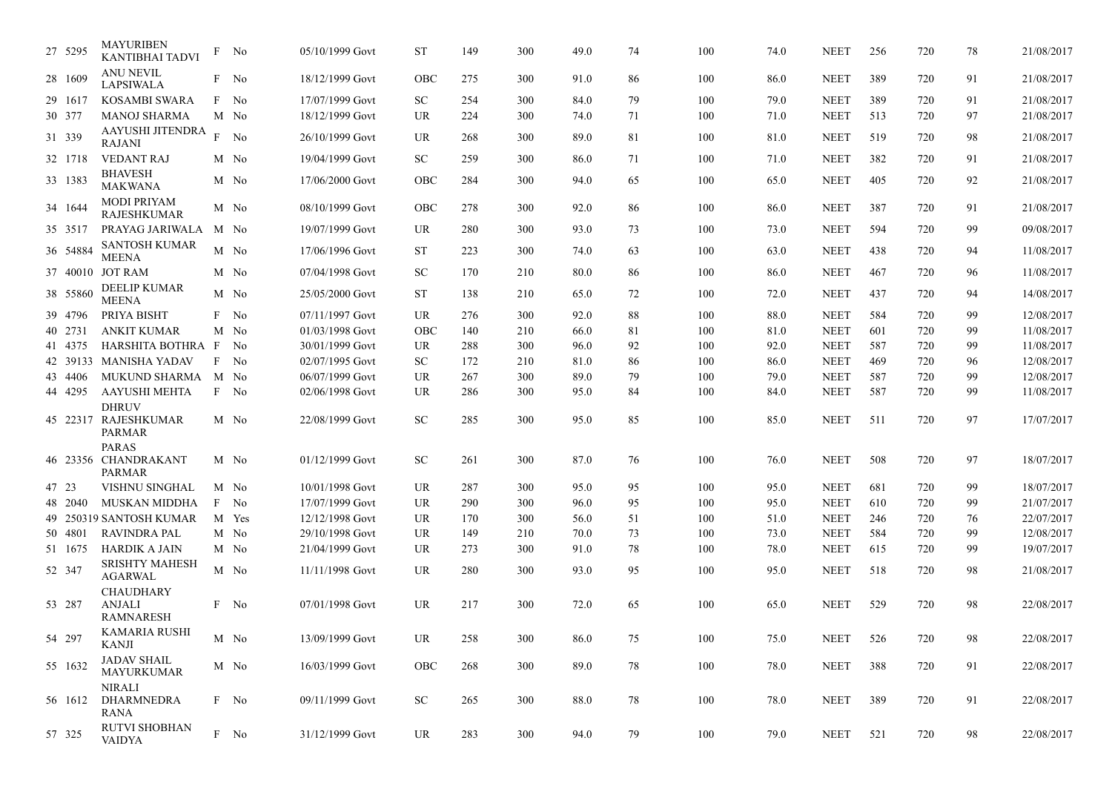| 27 5295  | <b>MAYURIBEN</b><br><b>KANTIBHAI TADVI</b>            |   | F No        | 05/10/1999 Govt | <b>ST</b>  | 149 | 300 | 49.0 | 74 | 100 | 74.0 | <b>NEET</b> | 256 | 720 | 78 | 21/08/2017 |
|----------|-------------------------------------------------------|---|-------------|-----------------|------------|-----|-----|------|----|-----|------|-------------|-----|-----|----|------------|
| 28 1609  | <b>ANU NEVIL</b><br><b>LAPSIWALA</b>                  |   | F No        | 18/12/1999 Govt | OBC        | 275 | 300 | 91.0 | 86 | 100 | 86.0 | <b>NEET</b> | 389 | 720 | 91 | 21/08/2017 |
| 29 1617  | <b>KOSAMBI SWARA</b>                                  |   | F No        | 17/07/1999 Govt | <b>SC</b>  | 254 | 300 | 84.0 | 79 | 100 | 79.0 | <b>NEET</b> | 389 | 720 | 91 | 21/08/2017 |
| 30 377   | <b>MANOJ SHARMA</b>                                   |   | M No        | 18/12/1999 Govt | <b>UR</b>  | 224 | 300 | 74.0 | 71 | 100 | 71.0 | <b>NEET</b> | 513 | 720 | 97 | 21/08/2017 |
| 31 339   | AAYUSHI JITENDRA<br><b>RAJANI</b>                     | F | No          | 26/10/1999 Govt | <b>UR</b>  | 268 | 300 | 89.0 | 81 | 100 | 81.0 | <b>NEET</b> | 519 | 720 | 98 | 21/08/2017 |
| 32 1718  | <b>VEDANT RAJ</b>                                     |   | M No        | 19/04/1999 Govt | <b>SC</b>  | 259 | 300 | 86.0 | 71 | 100 | 71.0 | <b>NEET</b> | 382 | 720 | 91 | 21/08/2017 |
| 33 1383  | <b>BHAVESH</b><br><b>MAKWANA</b>                      |   | M No        | 17/06/2000 Govt | <b>OBC</b> | 284 | 300 | 94.0 | 65 | 100 | 65.0 | <b>NEET</b> | 405 | 720 | 92 | 21/08/2017 |
| 34 1644  | <b>MODI PRIYAM</b><br><b>RAJESHKUMAR</b>              |   | M No        | 08/10/1999 Govt | OBC        | 278 | 300 | 92.0 | 86 | 100 | 86.0 | <b>NEET</b> | 387 | 720 | 91 | 21/08/2017 |
| 35 3517  | PRAYAG JARIWALA                                       |   | M No        | 19/07/1999 Govt | <b>UR</b>  | 280 | 300 | 93.0 | 73 | 100 | 73.0 | <b>NEET</b> | 594 | 720 | 99 | 09/08/2017 |
| 36 54884 | <b>SANTOSH KUMAR</b><br><b>MEENA</b>                  | M | No          | 17/06/1996 Govt | ST         | 223 | 300 | 74.0 | 63 | 100 | 63.0 | <b>NEET</b> | 438 | 720 | 94 | 11/08/2017 |
|          | 37 40010 JOT RAM                                      |   | M No        | 07/04/1998 Govt | <b>SC</b>  | 170 | 210 | 80.0 | 86 | 100 | 86.0 | <b>NEET</b> | 467 | 720 | 96 | 11/08/2017 |
| 38 55860 | <b>DEELIP KUMAR</b><br><b>MEENA</b>                   |   | M No        | 25/05/2000 Govt | ST         | 138 | 210 | 65.0 | 72 | 100 | 72.0 | <b>NEET</b> | 437 | 720 | 94 | 14/08/2017 |
| 39 4796  | PRIYA BISHT                                           |   | F No        | 07/11/1997 Govt | <b>UR</b>  | 276 | 300 | 92.0 | 88 | 100 | 88.0 | <b>NEET</b> | 584 | 720 | 99 | 12/08/2017 |
| 40 2731  | <b>ANKIT KUMAR</b>                                    |   | M No        | 01/03/1998 Govt | <b>OBC</b> | 140 | 210 | 66.0 | 81 | 100 | 81.0 | <b>NEET</b> | 601 | 720 | 99 | 11/08/2017 |
| 41 4375  | HARSHITA BOTHRA                                       | F | No          | 30/01/1999 Govt | <b>UR</b>  | 288 | 300 | 96.0 | 92 | 100 | 92.0 | <b>NEET</b> | 587 | 720 | 99 | 11/08/2017 |
| 42 39133 | <b>MANISHA YADAV</b>                                  | F | No          | 02/07/1995 Govt | SC         | 172 | 210 | 81.0 | 86 | 100 | 86.0 | <b>NEET</b> | 469 | 720 | 96 | 12/08/2017 |
| 43 4406  | <b>MUKUND SHARMA</b>                                  |   | M No        | 06/07/1999 Govt | <b>UR</b>  | 267 | 300 | 89.0 | 79 | 100 | 79.0 | <b>NEET</b> | 587 | 720 | 99 | 12/08/2017 |
| 44 4295  | <b>AAYUSHI MEHTA</b>                                  |   | F No        | 02/06/1998 Govt | <b>UR</b>  | 286 | 300 | 95.0 | 84 | 100 | 84.0 | <b>NEET</b> | 587 | 720 | 99 | 11/08/2017 |
| 45 22317 | <b>DHRUV</b><br><b>RAJESHKUMAR</b><br><b>PARMAR</b>   |   | M No        | 22/08/1999 Govt | <b>SC</b>  | 285 | 300 | 95.0 | 85 | 100 | 85.0 | <b>NEET</b> | 511 | 720 | 97 | 17/07/2017 |
|          | <b>PARAS</b>                                          |   |             |                 |            |     |     |      |    |     |      |             |     |     |    |            |
|          | 46 23356 CHANDRAKANT<br>PARMAR                        |   | M No        | 01/12/1999 Govt | <b>SC</b>  | 261 | 300 | 87.0 | 76 | 100 | 76.0 | <b>NEET</b> | 508 | 720 | 97 | 18/07/2017 |
| 47 23    | VISHNU SINGHAL                                        |   | M No        | 10/01/1998 Govt | <b>UR</b>  | 287 | 300 | 95.0 | 95 | 100 | 95.0 | <b>NEET</b> | 681 | 720 | 99 | 18/07/2017 |
| 48 2040  | <b>MUSKAN MIDDHA</b>                                  | F | No          | 17/07/1999 Govt | <b>UR</b>  | 290 | 300 | 96.0 | 95 | 100 | 95.0 | <b>NEET</b> | 610 | 720 | 99 | 21/07/2017 |
|          | 49 250319 SANTOSH KUMAR                               |   | M Yes       | 12/12/1998 Govt | <b>UR</b>  | 170 | 300 | 56.0 | 51 | 100 | 51.0 | <b>NEET</b> | 246 | 720 | 76 | 22/07/2017 |
| 50 4801  | <b>RAVINDRA PAL</b>                                   |   | M No        | 29/10/1998 Govt | <b>UR</b>  | 149 | 210 | 70.0 | 73 | 100 | 73.0 | <b>NEET</b> | 584 | 720 | 99 | 12/08/2017 |
| 51 1675  | HARDIK A JAIN                                         |   | M No        | 21/04/1999 Govt | UR.        | 273 | 300 | 91.0 | 78 | 100 | 78.0 | <b>NEET</b> | 615 | 720 | 99 | 19/07/2017 |
| 52 347   | <b>SRISHTY MAHESH</b><br><b>AGARWAL</b>               |   | M No        | 11/11/1998 Govt | <b>UR</b>  | 280 | 300 | 93.0 | 95 | 100 | 95.0 | <b>NEET</b> | 518 | 720 | 98 | 21/08/2017 |
| 53 287   | <b>CHAUDHARY</b><br><b>ANJALI</b><br><b>RAMNARESH</b> |   | F No        | 07/01/1998 Govt | <b>UR</b>  | 217 | 300 | 72.0 | 65 | 100 | 65.0 | <b>NEET</b> | 529 | 720 | 98 | 22/08/2017 |
| 54 297   | KAMARIA RUSHI<br>KANJI                                |   | M No        | 13/09/1999 Govt | UR         | 258 | 300 | 86.0 | 75 | 100 | 75.0 | <b>NEET</b> | 526 | 720 | 98 | 22/08/2017 |
| 55 1632  | <b>JADAV SHAIL</b><br>MAYURKUMAR                      |   | M No        | 16/03/1999 Govt | OBC        | 268 | 300 | 89.0 | 78 | 100 | 78.0 | <b>NEET</b> | 388 | 720 | 91 | 22/08/2017 |
| 56 1612  | <b>NIRALI</b><br>DHARMNEDRA<br>RANA                   |   | $\rm F~$ No | 09/11/1999 Govt | <b>SC</b>  | 265 | 300 | 88.0 | 78 | 100 | 78.0 | <b>NEET</b> | 389 | 720 | 91 | 22/08/2017 |
| 57 325   | <b>RUTVI SHOBHAN</b><br><b>VAIDYA</b>                 |   | $\rm F~$ No | 31/12/1999 Govt | UR         | 283 | 300 | 94.0 | 79 | 100 | 79.0 | <b>NEET</b> | 521 | 720 | 98 | 22/08/2017 |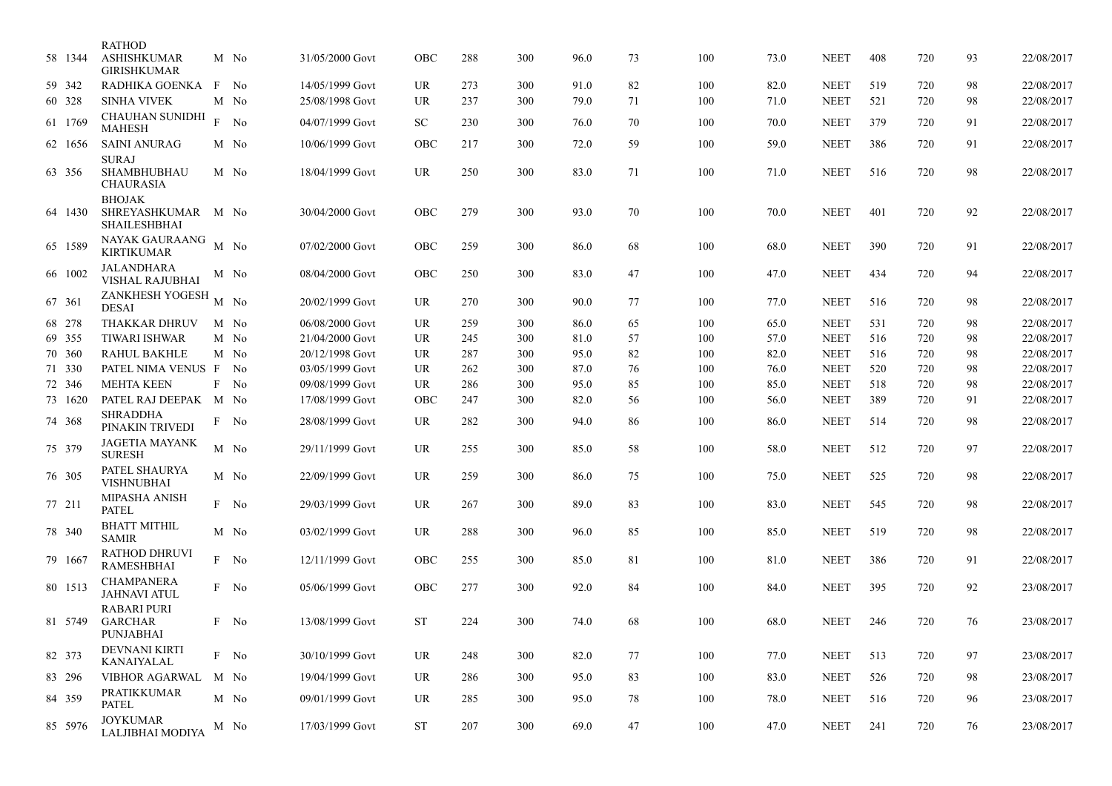|        | 58 1344 | <b>RATHOD</b><br><b>ASHISHKUMAR</b><br><b>GIRISHKUMAR</b> |   | M No           | 31/05/2000 Govt | OBC       | 288 | 300 | 96.0 | 73 | 100 | 73.0 | <b>NEET</b> | 408 | 720 | 93 | 22/08/2017 |
|--------|---------|-----------------------------------------------------------|---|----------------|-----------------|-----------|-----|-----|------|----|-----|------|-------------|-----|-----|----|------------|
|        | 59 342  | RADHIKA GOENKA                                            | F | No             | 14/05/1999 Govt | UR        | 273 | 300 | 91.0 | 82 | 100 | 82.0 | <b>NEET</b> | 519 | 720 | 98 | 22/08/2017 |
|        | 60 328  | <b>SINHA VIVEK</b>                                        |   | M No           | 25/08/1998 Govt | UR        | 237 | 300 | 79.0 | 71 | 100 | 71.0 | <b>NEET</b> | 521 | 720 | 98 | 22/08/2017 |
|        | 61 1769 | <b>CHAUHAN SUNIDHI</b><br><b>MAHESH</b>                   | F | No             | 04/07/1999 Govt | <b>SC</b> | 230 | 300 | 76.0 | 70 | 100 | 70.0 | <b>NEET</b> | 379 | 720 | 91 | 22/08/2017 |
|        | 62 1656 | <b>SAINI ANURAG</b>                                       |   | M No           | 10/06/1999 Govt | OBC       | 217 | 300 | 72.0 | 59 | 100 | 59.0 | <b>NEET</b> | 386 | 720 | 91 | 22/08/2017 |
|        |         | <b>SURAJ</b>                                              |   |                |                 |           |     |     |      |    |     |      |             |     |     |    |            |
|        | 63 356  | SHAMBHUBHAU<br><b>CHAURASIA</b>                           |   | M No           | 18/04/1999 Govt | UR        | 250 | 300 | 83.0 | 71 | 100 | 71.0 | <b>NEET</b> | 516 | 720 | 98 | 22/08/2017 |
|        | 64 1430 | <b>BHOJAK</b><br>SHREYASHKUMAR<br><b>SHAILESHBHAI</b>     |   | M No           | 30/04/2000 Govt | OBC       | 279 | 300 | 93.0 | 70 | 100 | 70.0 | <b>NEET</b> | 401 | 720 | 92 | 22/08/2017 |
|        | 65 1589 | NAYAK GAURAANG<br><b>KIRTIKUMAR</b>                       |   | M No           | 07/02/2000 Govt | OBC       | 259 | 300 | 86.0 | 68 | 100 | 68.0 | <b>NEET</b> | 390 | 720 | 91 | 22/08/2017 |
|        | 66 1002 | <b>JALANDHARA</b><br><b>VISHAL RAJUBHAI</b>               |   | M No           | 08/04/2000 Govt | OBC       | 250 | 300 | 83.0 | 47 | 100 | 47.0 | <b>NEET</b> | 434 | 720 | 94 | 22/08/2017 |
| 67 361 |         | ZANKHESH YOGESH<br><b>DESAI</b>                           |   | $M$ No         | 20/02/1999 Govt | UR        | 270 | 300 | 90.0 | 77 | 100 | 77.0 | <b>NEET</b> | 516 | 720 | 98 | 22/08/2017 |
|        | 68 278  | <b>THAKKAR DHRUV</b>                                      |   | M No           | 06/08/2000 Govt | UR        | 259 | 300 | 86.0 | 65 | 100 | 65.0 | <b>NEET</b> | 531 | 720 | 98 | 22/08/2017 |
|        | 69 355  | <b>TIWARI ISHWAR</b>                                      |   | M No           | 21/04/2000 Govt | UR        | 245 | 300 | 81.0 | 57 | 100 | 57.0 | <b>NEET</b> | 516 | 720 | 98 | 22/08/2017 |
|        | 70 360  | <b>RAHUL BAKHLE</b>                                       |   | M No           | 20/12/1998 Govt | UR        | 287 | 300 | 95.0 | 82 | 100 | 82.0 | <b>NEET</b> | 516 | 720 | 98 | 22/08/2017 |
|        | 71 330  | PATEL NIMA VENUS F                                        |   | No             | 03/05/1999 Govt | UR        | 262 | 300 | 87.0 | 76 | 100 | 76.0 | <b>NEET</b> | 520 | 720 | 98 | 22/08/2017 |
|        | 72 346  | <b>MEHTA KEEN</b>                                         | F | N <sub>0</sub> | 09/08/1999 Govt | UR        | 286 | 300 | 95.0 | 85 | 100 | 85.0 | <b>NEET</b> | 518 | 720 | 98 | 22/08/2017 |
|        | 73 1620 | PATEL RAJ DEEPAK M No                                     |   |                | 17/08/1999 Govt | OBC       | 247 | 300 | 82.0 | 56 | 100 | 56.0 | <b>NEET</b> | 389 | 720 | 91 | 22/08/2017 |
|        |         | <b>SHRADDHA</b>                                           |   |                |                 |           |     |     |      |    |     |      |             |     |     |    |            |
|        | 74 368  | PINAKIN TRIVEDI                                           |   | No             | 28/08/1999 Govt | UR        | 282 | 300 | 94.0 | 86 | 100 | 86.0 | <b>NEET</b> | 514 | 720 | 98 | 22/08/2017 |
|        | 75 379  | <b>JAGETIA MAYANK</b><br><b>SURESH</b>                    |   | M No           | 29/11/1999 Govt | <b>UR</b> | 255 | 300 | 85.0 | 58 | 100 | 58.0 | <b>NEET</b> | 512 | 720 | 97 | 22/08/2017 |
|        | 76 305  | PATEL SHAURYA<br><b>VISHNUBHAI</b>                        |   | M No           | 22/09/1999 Govt | UR        | 259 | 300 | 86.0 | 75 | 100 | 75.0 | <b>NEET</b> | 525 | 720 | 98 | 22/08/2017 |
| 77 211 |         | <b>MIPASHA ANISH</b><br><b>PATEL</b>                      |   | F No           | 29/03/1999 Govt | UR        | 267 | 300 | 89.0 | 83 | 100 | 83.0 | <b>NEET</b> | 545 | 720 | 98 | 22/08/2017 |
|        | 78 340  | <b>BHATT MITHIL</b><br><b>SAMIR</b>                       |   | M No           | 03/02/1999 Govt | UR        | 288 | 300 | 96.0 | 85 | 100 | 85.0 | <b>NEET</b> | 519 | 720 | 98 | 22/08/2017 |
|        | 79 1667 | RATHOD DHRUVI<br><b>RAMESHBHAI</b>                        |   | F No           | 12/11/1999 Govt | OBC       | 255 | 300 | 85.0 | 81 | 100 | 81.0 | <b>NEET</b> | 386 | 720 | 91 | 22/08/2017 |
|        | 80 1513 | <b>CHAMPANERA</b><br><b>JAHNAVI ATUL</b>                  |   | F No           | 05/06/1999 Govt | OBC       | 277 | 300 | 92.0 | 84 | 100 | 84.0 | <b>NEET</b> | 395 | 720 | 92 | 23/08/2017 |
|        | 81 5749 | <b>RABARI PURI</b><br><b>GARCHAR</b><br>PUNJABHAI         |   | F No           | 13/08/1999 Govt | <b>ST</b> | 224 | 300 | 74.0 | 68 | 100 | 68.0 | <b>NEET</b> | 246 | 720 | 76 | 23/08/2017 |
|        | 82 373  | <b>DEVNANI KIRTI</b><br>KANAIYALAL                        |   | $\rm F~$ No    | 30/10/1999 Govt | UR.       | 248 | 300 | 82.0 | 77 | 100 | 77.0 | <b>NEET</b> | 513 | 720 | 97 | 23/08/2017 |
|        | 83 296  | VIBHOR AGARWAL                                            |   | M No           | 19/04/1999 Govt | UR        | 286 | 300 | 95.0 | 83 | 100 | 83.0 | <b>NEET</b> | 526 | 720 | 98 | 23/08/2017 |
|        | 84 359  | PRATIKKUMAR<br><b>PATEL</b>                               |   | M No           | 09/01/1999 Govt | UR        | 285 | 300 | 95.0 | 78 | 100 | 78.0 | <b>NEET</b> | 516 | 720 | 96 | 23/08/2017 |
|        | 85 5976 | <b>JOYKUMAR</b><br>LALJIBHAI MODIYA                       |   | M No           | 17/03/1999 Govt | <b>ST</b> | 207 | 300 | 69.0 | 47 | 100 | 47.0 | <b>NEET</b> | 241 | 720 | 76 | 23/08/2017 |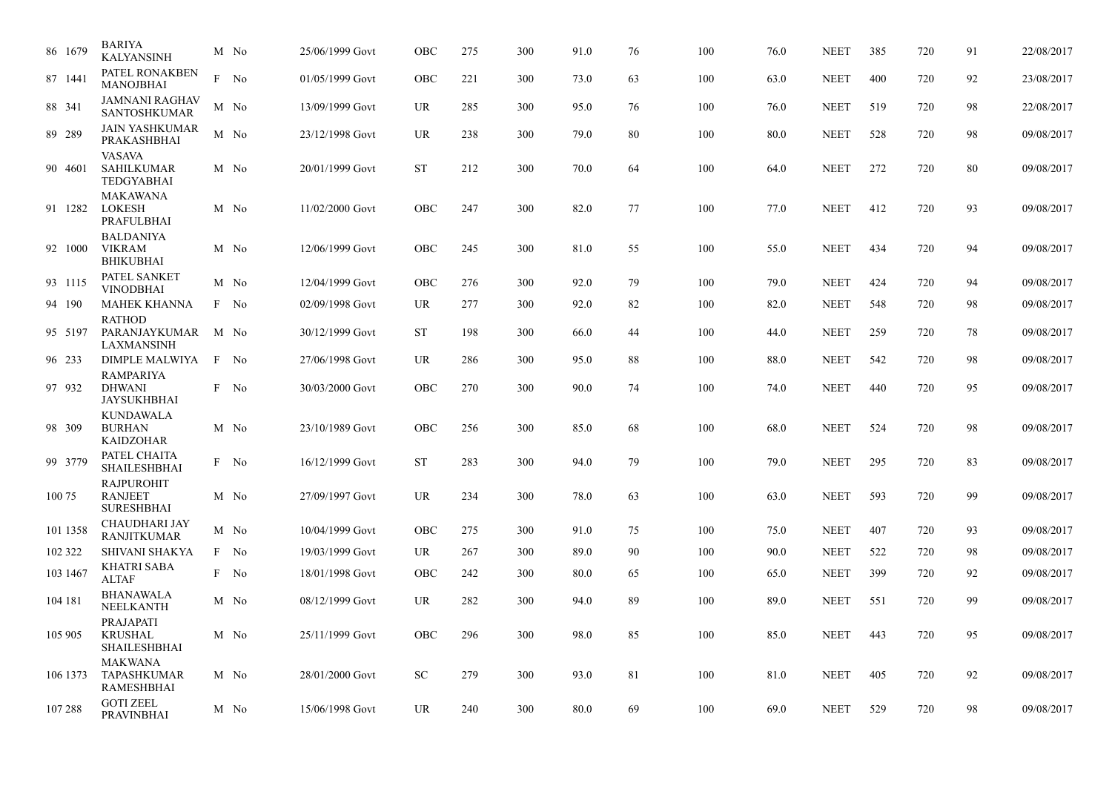| 86 1679  | <b>BARIYA</b><br><b>KALYANSINH</b>                       | M No | 25/06/1999 Govt | OBC       | 275 | 300 | 91.0 | 76 | 100 | 76.0 | <b>NEET</b> | 385 | 720 | 91     | 22/08/2017 |
|----------|----------------------------------------------------------|------|-----------------|-----------|-----|-----|------|----|-----|------|-------------|-----|-----|--------|------------|
| 87 1441  | PATEL RONAKBEN<br><b>MANOJBHAI</b>                       | F No | 01/05/1999 Govt | OBC       | 221 | 300 | 73.0 | 63 | 100 | 63.0 | <b>NEET</b> | 400 | 720 | 92     | 23/08/2017 |
| 88 341   | <b>JAMNANI RAGHAV</b><br><b>SANTOSHKUMAR</b>             | M No | 13/09/1999 Govt | UR        | 285 | 300 | 95.0 | 76 | 100 | 76.0 | <b>NEET</b> | 519 | 720 | 98     | 22/08/2017 |
| 89 289   | <b>JAIN YASHKUMAR</b><br>PRAKASHBHAI                     | M No | 23/12/1998 Govt | UR        | 238 | 300 | 79.0 | 80 | 100 | 80.0 | <b>NEET</b> | 528 | 720 | 98     | 09/08/2017 |
| 90 4601  | <b>VASAVA</b><br><b>SAHILKUMAR</b><br><b>TEDGYABHAI</b>  | M No | 20/01/1999 Govt | <b>ST</b> | 212 | 300 | 70.0 | 64 | 100 | 64.0 | <b>NEET</b> | 272 | 720 | $80\,$ | 09/08/2017 |
| 91 1282  | <b>MAKAWANA</b><br><b>LOKESH</b><br>PRAFULBHAI           | M No | 11/02/2000 Govt | OBC       | 247 | 300 | 82.0 | 77 | 100 | 77.0 | <b>NEET</b> | 412 | 720 | 93     | 09/08/2017 |
| 92 1000  | <b>BALDANIYA</b><br><b>VIKRAM</b><br><b>BHIKUBHAI</b>    | M No | 12/06/1999 Govt | OBC       | 245 | 300 | 81.0 | 55 | 100 | 55.0 | <b>NEET</b> | 434 | 720 | 94     | 09/08/2017 |
| 93 1115  | PATEL SANKET<br><b>VINODBHAI</b>                         | M No | 12/04/1999 Govt | OBC       | 276 | 300 | 92.0 | 79 | 100 | 79.0 | <b>NEET</b> | 424 | 720 | 94     | 09/08/2017 |
| 94 190   | <b>MAHEK KHANNA</b>                                      | F No | 02/09/1998 Govt | UR        | 277 | 300 | 92.0 | 82 | 100 | 82.0 | <b>NEET</b> | 548 | 720 | 98     | 09/08/2017 |
| 95 5197  | <b>RATHOD</b><br>PARANJAYKUMAR<br>LAXMANSINH             | M No | 30/12/1999 Govt | <b>ST</b> | 198 | 300 | 66.0 | 44 | 100 | 44.0 | <b>NEET</b> | 259 | 720 | 78     | 09/08/2017 |
| 96 233   | DIMPLE MALWIYA                                           | F No | 27/06/1998 Govt | UR        | 286 | 300 | 95.0 | 88 | 100 | 88.0 | <b>NEET</b> | 542 | 720 | 98     | 09/08/2017 |
| 97 932   | <b>RAMPARIYA</b><br><b>DHWANI</b><br><b>JAYSUKHBHAI</b>  | F No | 30/03/2000 Govt | OBC       | 270 | 300 | 90.0 | 74 | 100 | 74.0 | <b>NEET</b> | 440 | 720 | 95     | 09/08/2017 |
| 98 309   | <b>KUNDAWALA</b><br><b>BURHAN</b><br><b>KAIDZOHAR</b>    | M No | 23/10/1989 Govt | OBC       | 256 | 300 | 85.0 | 68 | 100 | 68.0 | <b>NEET</b> | 524 | 720 | 98     | 09/08/2017 |
| 99 3779  | PATEL CHAITA<br><b>SHAILESHBHAI</b>                      | F No | 16/12/1999 Govt | <b>ST</b> | 283 | 300 | 94.0 | 79 | 100 | 79.0 | <b>NEET</b> | 295 | 720 | 83     | 09/08/2017 |
| 100 75   | <b>RAJPUROHIT</b><br><b>RANJEET</b><br><b>SURESHBHAI</b> | M No | 27/09/1997 Govt | UR        | 234 | 300 | 78.0 | 63 | 100 | 63.0 | <b>NEET</b> | 593 | 720 | 99     | 09/08/2017 |
| 101 1358 | CHAUDHARI JAY<br><b>RANJITKUMAR</b>                      | M No | 10/04/1999 Govt | OBC       | 275 | 300 | 91.0 | 75 | 100 | 75.0 | <b>NEET</b> | 407 | 720 | 93     | 09/08/2017 |
| 102 322  | SHIVANI SHAKYA                                           | F No | 19/03/1999 Govt | UR        | 267 | 300 | 89.0 | 90 | 100 | 90.0 | <b>NEET</b> | 522 | 720 | 98     | 09/08/2017 |
| 103 1467 | <b>KHATRI SABA</b><br><b>ALTAF</b>                       | F No | 18/01/1998 Govt | OBC       | 242 | 300 | 80.0 | 65 | 100 | 65.0 | <b>NEET</b> | 399 | 720 | 92     | 09/08/2017 |
| 104 181  | <b>BHANAWALA</b><br>NEELKANTH                            | M No | 08/12/1999 Govt | UR        | 282 | 300 | 94.0 | 89 | 100 | 89.0 | <b>NEET</b> | 551 | 720 | 99     | 09/08/2017 |
| 105 905  | PRAJAPATI<br><b>KRUSHAL</b><br><b>SHAILESHBHAI</b>       | M No | 25/11/1999 Govt | OBC       | 296 | 300 | 98.0 | 85 | 100 | 85.0 | <b>NEET</b> | 443 | 720 | 95     | 09/08/2017 |
| 106 1373 | <b>MAKWANA</b><br><b>TAPASHKUMAR</b><br>RAMESHBHAI       | M No | 28/01/2000 Govt | <b>SC</b> | 279 | 300 | 93.0 | 81 | 100 | 81.0 | <b>NEET</b> | 405 | 720 | 92     | 09/08/2017 |
| 107 288  | <b>GOTI ZEEL</b><br><b>PRAVINBHAI</b>                    | M No | 15/06/1998 Govt | <b>UR</b> | 240 | 300 | 80.0 | 69 | 100 | 69.0 | <b>NEET</b> | 529 | 720 | 98     | 09/08/2017 |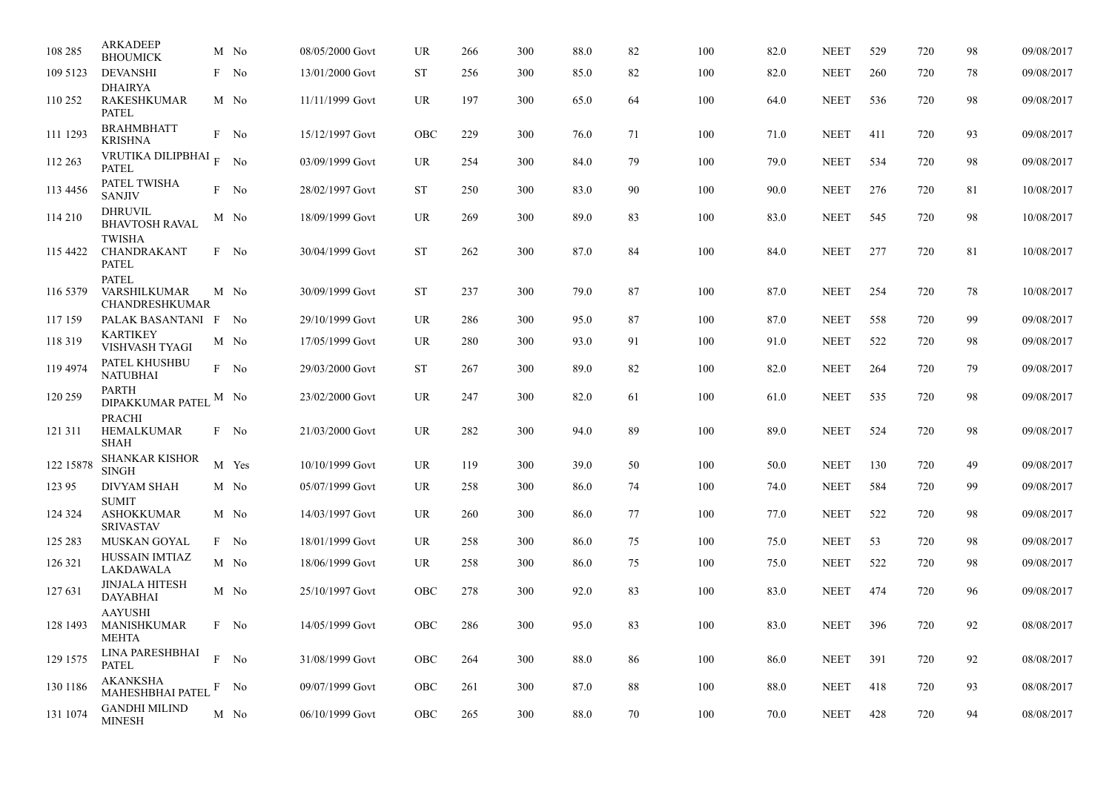| 108 285   | <b>ARKADEEP</b><br><b>BHOUMICK</b>                    |   | M No  | 08/05/2000 Govt | UR         | 266 | 300 | 88.0 | 82 | 100 | 82.0 | <b>NEET</b> | 529 | 720 | 98 | 09/08/2017 |
|-----------|-------------------------------------------------------|---|-------|-----------------|------------|-----|-----|------|----|-----|------|-------------|-----|-----|----|------------|
| 109 5123  | <b>DEVANSHI</b>                                       |   | F No  | 13/01/2000 Govt | <b>ST</b>  | 256 | 300 | 85.0 | 82 | 100 | 82.0 | <b>NEET</b> | 260 | 720 | 78 | 09/08/2017 |
| 110 252   | <b>DHAIRYA</b><br><b>RAKESHKUMAR</b><br>PATEL         |   | M No  | 11/11/1999 Govt | UR         | 197 | 300 | 65.0 | 64 | 100 | 64.0 | <b>NEET</b> | 536 | 720 | 98 | 09/08/2017 |
| 111 1293  | <b>BRAHMBHATT</b><br>KRISHNA                          |   | F No  | 15/12/1997 Govt | OBC        | 229 | 300 | 76.0 | 71 | 100 | 71.0 | <b>NEET</b> | 411 | 720 | 93 | 09/08/2017 |
| 112 263   | VRUTIKA DILIPBHAI $_{\rm F}$<br>PATEL                 |   | No    | 03/09/1999 Govt | UR         | 254 | 300 | 84.0 | 79 | 100 | 79.0 | <b>NEET</b> | 534 | 720 | 98 | 09/08/2017 |
| 113 4456  | PATEL TWISHA<br><b>SANJIV</b>                         |   | F No  | 28/02/1997 Govt | <b>ST</b>  | 250 | 300 | 83.0 | 90 | 100 | 90.0 | <b>NEET</b> | 276 | 720 | 81 | 10/08/2017 |
| 114 210   | <b>DHRUVIL</b><br><b>BHAVTOSH RAVAL</b>               |   | M No  | 18/09/1999 Govt | <b>UR</b>  | 269 | 300 | 89.0 | 83 | 100 | 83.0 | <b>NEET</b> | 545 | 720 | 98 | 10/08/2017 |
| 115 4422  | <b>TWISHA</b><br>CHANDRAKANT<br><b>PATEL</b>          |   | F No  | 30/04/1999 Govt | <b>ST</b>  | 262 | 300 | 87.0 | 84 | 100 | 84.0 | <b>NEET</b> | 277 | 720 | 81 | 10/08/2017 |
| 116 5379  | <b>PATEL</b><br>VARSHILKUMAR<br>CHANDRESHKUMAR        |   | M No  | 30/09/1999 Govt | <b>ST</b>  | 237 | 300 | 79.0 | 87 | 100 | 87.0 | <b>NEET</b> | 254 | 720 | 78 | 10/08/2017 |
| 117 159   | PALAK BASANTANI F No                                  |   |       | 29/10/1999 Govt | <b>UR</b>  | 286 | 300 | 95.0 | 87 | 100 | 87.0 | <b>NEET</b> | 558 | 720 | 99 | 09/08/2017 |
| 118 319   | <b>KARTIKEY</b><br>VISHVASH TYAGI                     |   | M No  | 17/05/1999 Govt | UR         | 280 | 300 | 93.0 | 91 | 100 | 91.0 | <b>NEET</b> | 522 | 720 | 98 | 09/08/2017 |
| 119 4974  | PATEL KHUSHBU<br><b>NATUBHAI</b>                      |   | F No  | 29/03/2000 Govt | <b>ST</b>  | 267 | 300 | 89.0 | 82 | 100 | 82.0 | <b>NEET</b> | 264 | 720 | 79 | 09/08/2017 |
| 120 259   | PARTH<br><b>DIPAKKUMAR PATEL</b>                      |   | M No  | 23/02/2000 Govt | <b>UR</b>  | 247 | 300 | 82.0 | 61 | 100 | 61.0 | <b>NEET</b> | 535 | 720 | 98 | 09/08/2017 |
| 121 311   | <b>PRACHI</b><br><b>HEMALKUMAR</b><br><b>SHAH</b>     |   | F No  | 21/03/2000 Govt | <b>UR</b>  | 282 | 300 | 94.0 | 89 | 100 | 89.0 | <b>NEET</b> | 524 | 720 | 98 | 09/08/2017 |
| 122 15878 | <b>SHANKAR KISHOR</b><br><b>SINGH</b>                 |   | M Yes | 10/10/1999 Govt | <b>UR</b>  | 119 | 300 | 39.0 | 50 | 100 | 50.0 | <b>NEET</b> | 130 | 720 | 49 | 09/08/2017 |
| 123 95    | <b>DIVYAM SHAH</b>                                    |   | M No  | 05/07/1999 Govt | UR.        | 258 | 300 | 86.0 | 74 | 100 | 74.0 | <b>NEET</b> | 584 | 720 | 99 | 09/08/2017 |
| 124 324   | <b>SUMIT</b><br><b>ASHOKKUMAR</b><br><b>SRIVASTAV</b> |   | M No  | 14/03/1997 Govt | UR         | 260 | 300 | 86.0 | 77 | 100 | 77.0 | <b>NEET</b> | 522 | 720 | 98 | 09/08/2017 |
| 125 283   | MUSKAN GOYAL                                          |   | F No  | 18/01/1999 Govt | UR.        | 258 | 300 | 86.0 | 75 | 100 | 75.0 | <b>NEET</b> | 53  | 720 | 98 | 09/08/2017 |
| 126 321   | HUSSAIN IMTIAZ<br>LAKDAWALA                           |   | M No  | 18/06/1999 Govt | UR         | 258 | 300 | 86.0 | 75 | 100 | 75.0 | <b>NEET</b> | 522 | 720 | 98 | 09/08/2017 |
| 127 631   | <b>JINJALA HITESH</b><br><b>DAYABHAI</b>              |   | M No  | 25/10/1997 Govt | <b>OBC</b> | 278 | 300 | 92.0 | 83 | 100 | 83.0 | <b>NEET</b> | 474 | 720 | 96 | 09/08/2017 |
| 128 1493  | <b>AAYUSHI</b><br>MANISHKUMAR<br><b>MEHTA</b>         |   | F No  | 14/05/1999 Govt | OBC        | 286 | 300 | 95.0 | 83 | 100 | 83.0 | <b>NEET</b> | 396 | 720 | 92 | 08/08/2017 |
| 129 1575  | LINA PARESHBHAI<br><b>PATEL</b>                       | F | No    | 31/08/1999 Govt | OBC        | 264 | 300 | 88.0 | 86 | 100 | 86.0 | <b>NEET</b> | 391 | 720 | 92 | 08/08/2017 |
| 130 1186  | <b>AKANKSHA</b><br><b>MAHESHBHAI PATEL</b>            |   | No    | 09/07/1999 Govt | OBC        | 261 | 300 | 87.0 | 88 | 100 | 88.0 | <b>NEET</b> | 418 | 720 | 93 | 08/08/2017 |
| 131 1074  | <b>GANDHI MILIND</b><br><b>MINESH</b>                 |   | M No  | 06/10/1999 Govt | OBC        | 265 | 300 | 88.0 | 70 | 100 | 70.0 | <b>NEET</b> | 428 | 720 | 94 | 08/08/2017 |